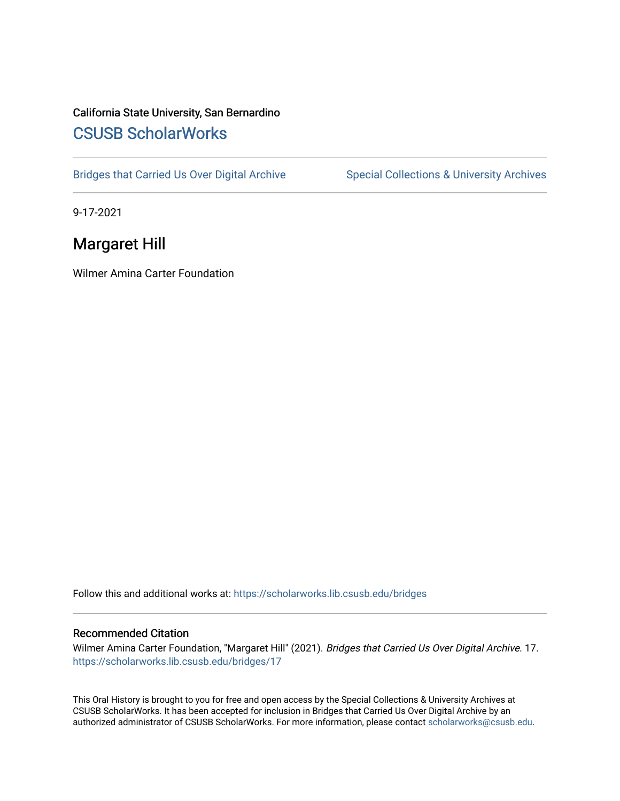## California State University, San Bernardino [CSUSB ScholarWorks](https://scholarworks.lib.csusb.edu/)

[Bridges that Carried Us Over Digital Archive](https://scholarworks.lib.csusb.edu/bridges) Special Collections & University Archives

9-17-2021

## Margaret Hill

Wilmer Amina Carter Foundation

Follow this and additional works at: [https://scholarworks.lib.csusb.edu/bridges](https://scholarworks.lib.csusb.edu/bridges?utm_source=scholarworks.lib.csusb.edu%2Fbridges%2F17&utm_medium=PDF&utm_campaign=PDFCoverPages) 

#### Recommended Citation

Wilmer Amina Carter Foundation, "Margaret Hill" (2021). Bridges that Carried Us Over Digital Archive. 17. [https://scholarworks.lib.csusb.edu/bridges/17](https://scholarworks.lib.csusb.edu/bridges/17?utm_source=scholarworks.lib.csusb.edu%2Fbridges%2F17&utm_medium=PDF&utm_campaign=PDFCoverPages)

This Oral History is brought to you for free and open access by the Special Collections & University Archives at CSUSB ScholarWorks. It has been accepted for inclusion in Bridges that Carried Us Over Digital Archive by an authorized administrator of CSUSB ScholarWorks. For more information, please contact [scholarworks@csusb.edu.](mailto:scholarworks@csusb.edu)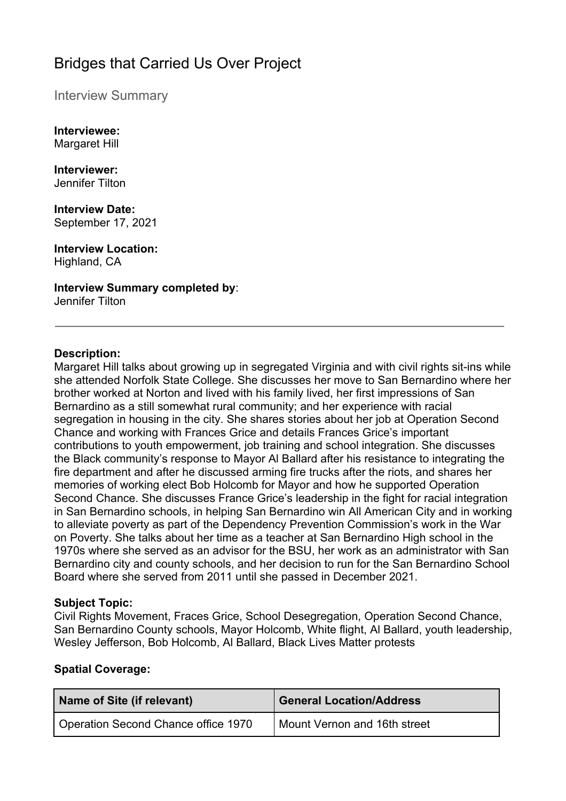# Bridges that Carried Us Over Project

Interview Summary

**Interviewee:** Margaret Hill

**Interviewer:** Jennifer Tilton

**Interview Date:** September 17, 2021

**Interview Location:**

Highland, CA

**Interview Summary completed by**: Jennifer Tilton

#### **Description:**

Margaret Hill talks about growing up in segregated Virginia and with civil rights sit-ins while she attended Norfolk State College. She discusses her move to San Bernardino where her brother worked at Norton and lived with his family lived, her first impressions of San Bernardino as a still somewhat rural community; and her experience with racial segregation in housing in the city. She shares stories about her job at Operation Second Chance and working with Frances Grice and details Frances Grice's important contributions to youth empowerment, job training and school integration. She discusses the Black community's response to Mayor Al Ballard after his resistance to integrating the fire department and after he discussed arming fire trucks after the riots, and shares her memories of working elect Bob Holcomb for Mayor and how he supported Operation Second Chance. She discusses France Grice's leadership in the fight for racial integration in San Bernardino schools, in helping San Bernardino win All American City and in working to alleviate poverty as part of the Dependency Prevention Commission's work in the War on Poverty. She talks about her time as a teacher at San Bernardino High school in the 1970s where she served as an advisor for the BSU, her work as an administrator with San Bernardino city and county schools, and her decision to run for the San Bernardino School Board where she served from 2011 until she passed in December 2021.

## **Subject Topic:**

Civil Rights Movement, Fraces Grice, School Desegregation, Operation Second Chance, San Bernardino County schools, Mayor Holcomb, White flight, Al Ballard, youth leadership, Wesley Jefferson, Bob Holcomb, Al Ballard, Black Lives Matter protests

#### **Spatial Coverage:**

| Name of Site (if relevant)          | <b>General Location/Address</b> |
|-------------------------------------|---------------------------------|
| Operation Second Chance office 1970 | Mount Vernon and 16th street    |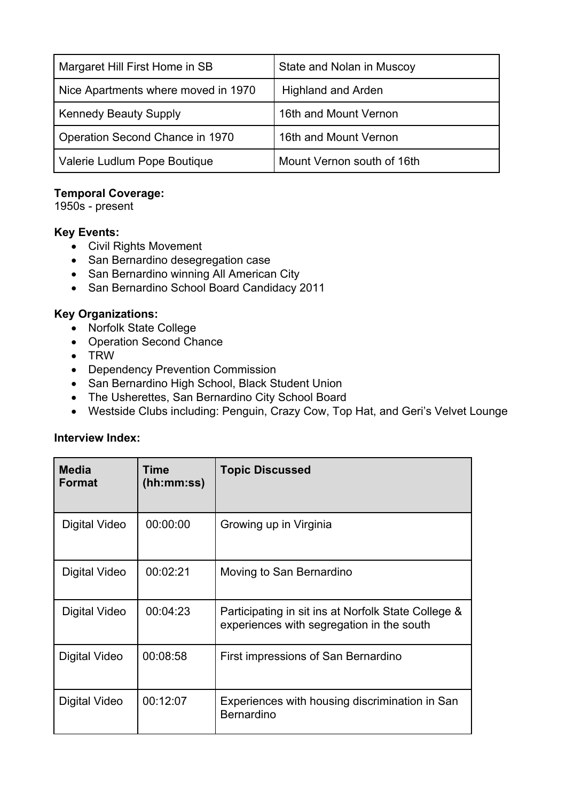| Margaret Hill First Home in SB      | State and Nolan in Muscoy  |
|-------------------------------------|----------------------------|
| Nice Apartments where moved in 1970 | <b>Highland and Arden</b>  |
| <b>Kennedy Beauty Supply</b>        | 16th and Mount Vernon      |
| Operation Second Chance in 1970     | 16th and Mount Vernon      |
| Valerie Ludlum Pope Boutique        | Mount Vernon south of 16th |

## **Temporal Coverage:**

1950s - present

## **Key Events:**

- Civil Rights Movement
- San Bernardino desegregation case
- San Bernardino winning All American City
- San Bernardino School Board Candidacy 2011

## **Key Organizations:**

- Norfolk State College
- Operation Second Chance
- TRW
- Dependency Prevention Commission
- San Bernardino High School, Black Student Union
- The Usherettes, San Bernardino City School Board
- Westside Clubs including: Penguin, Crazy Cow, Top Hat, and Geri's Velvet Lounge

## **Interview Index:**

| <b>Media</b><br><b>Format</b> | Time<br>(hh:mm:ss) | <b>Topic Discussed</b>                                                                           |
|-------------------------------|--------------------|--------------------------------------------------------------------------------------------------|
| Digital Video                 | 00:00:00           | Growing up in Virginia                                                                           |
| Digital Video                 | 00:02:21           | Moving to San Bernardino                                                                         |
| Digital Video                 | 00:04:23           | Participating in sit ins at Norfolk State College &<br>experiences with segregation in the south |
| Digital Video                 | 00:08:58           | First impressions of San Bernardino                                                              |
| Digital Video                 | 00:12:07           | Experiences with housing discrimination in San<br>Bernardino                                     |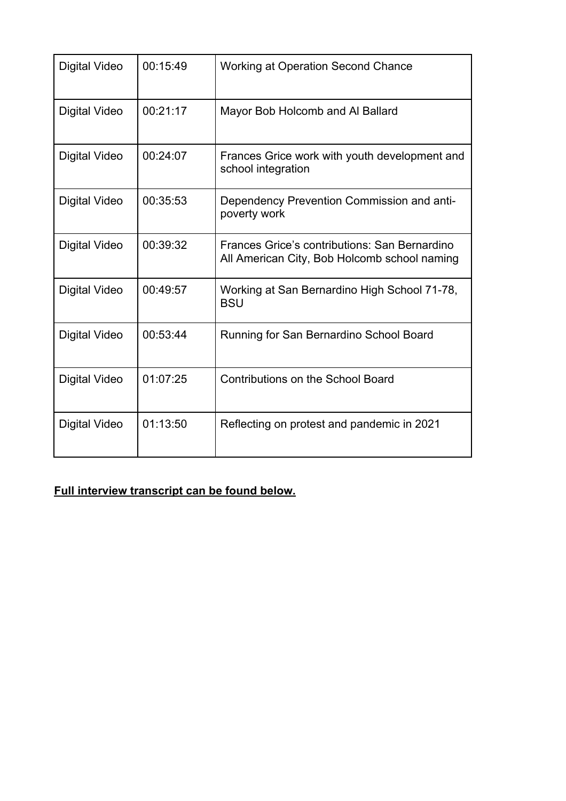| Digital Video        | 00:15:49 | <b>Working at Operation Second Chance</b>                                                     |
|----------------------|----------|-----------------------------------------------------------------------------------------------|
| Digital Video        | 00:21:17 | Mayor Bob Holcomb and Al Ballard                                                              |
| <b>Digital Video</b> | 00:24:07 | Frances Grice work with youth development and<br>school integration                           |
| Digital Video        | 00:35:53 | Dependency Prevention Commission and anti-<br>poverty work                                    |
| Digital Video        | 00:39:32 | Frances Grice's contributions: San Bernardino<br>All American City, Bob Holcomb school naming |
| <b>Digital Video</b> | 00:49:57 | Working at San Bernardino High School 71-78,<br><b>BSU</b>                                    |
| <b>Digital Video</b> | 00:53:44 | Running for San Bernardino School Board                                                       |
| Digital Video        | 01:07:25 | <b>Contributions on the School Board</b>                                                      |
| Digital Video        | 01:13:50 | Reflecting on protest and pandemic in 2021                                                    |

**Full interview transcript can be found below.**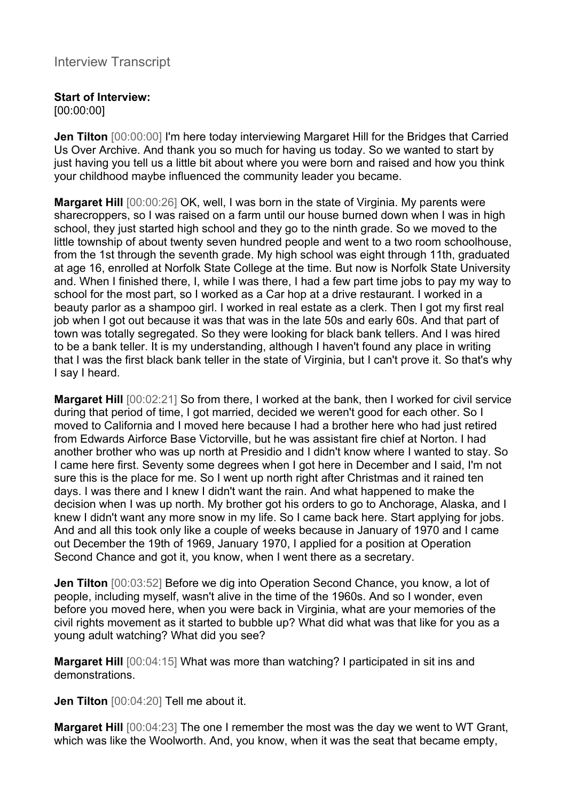## Interview Transcript

#### **Start of Interview:**

[00:00:00]

**Jen Tilton** [00:00:00] I'm here today interviewing Margaret Hill for the Bridges that Carried Us Over Archive. And thank you so much for having us today. So we wanted to start by just having you tell us a little bit about where you were born and raised and how you think your childhood maybe influenced the community leader you became.

**Margaret Hill** [00:00:26] OK, well, I was born in the state of Virginia. My parents were sharecroppers, so I was raised on a farm until our house burned down when I was in high school, they just started high school and they go to the ninth grade. So we moved to the little township of about twenty seven hundred people and went to a two room schoolhouse, from the 1st through the seventh grade. My high school was eight through 11th, graduated at age 16, enrolled at Norfolk State College at the time. But now is Norfolk State University and. When I finished there, I, while I was there, I had a few part time jobs to pay my way to school for the most part, so I worked as a Car hop at a drive restaurant. I worked in a beauty parlor as a shampoo girl. I worked in real estate as a clerk. Then I got my first real job when I got out because it was that was in the late 50s and early 60s. And that part of town was totally segregated. So they were looking for black bank tellers. And I was hired to be a bank teller. It is my understanding, although I haven't found any place in writing that I was the first black bank teller in the state of Virginia, but I can't prove it. So that's why I say I heard.

**Margaret Hill** [00:02:21] So from there, I worked at the bank, then I worked for civil service during that period of time, I got married, decided we weren't good for each other. So I moved to California and I moved here because I had a brother here who had just retired from Edwards Airforce Base Victorville, but he was assistant fire chief at Norton. I had another brother who was up north at Presidio and I didn't know where I wanted to stay. So I came here first. Seventy some degrees when I got here in December and I said, I'm not sure this is the place for me. So I went up north right after Christmas and it rained ten days. I was there and I knew I didn't want the rain. And what happened to make the decision when I was up north. My brother got his orders to go to Anchorage, Alaska, and I knew I didn't want any more snow in my life. So I came back here. Start applying for jobs. And and all this took only like a couple of weeks because in January of 1970 and I came out December the 19th of 1969, January 1970, I applied for a position at Operation Second Chance and got it, you know, when I went there as a secretary.

**Jen Tilton** [00:03:52] Before we dig into Operation Second Chance, you know, a lot of people, including myself, wasn't alive in the time of the 1960s. And so I wonder, even before you moved here, when you were back in Virginia, what are your memories of the civil rights movement as it started to bubble up? What did what was that like for you as a young adult watching? What did you see?

**Margaret Hill**  $[00:04:15]$  What was more than watching? I participated in sit ins and demonstrations.

**Jen Tilton** [00:04:20] Tell me about it.

**Margaret Hill** [00:04:23] The one I remember the most was the day we went to WT Grant, which was like the Woolworth. And, you know, when it was the seat that became empty,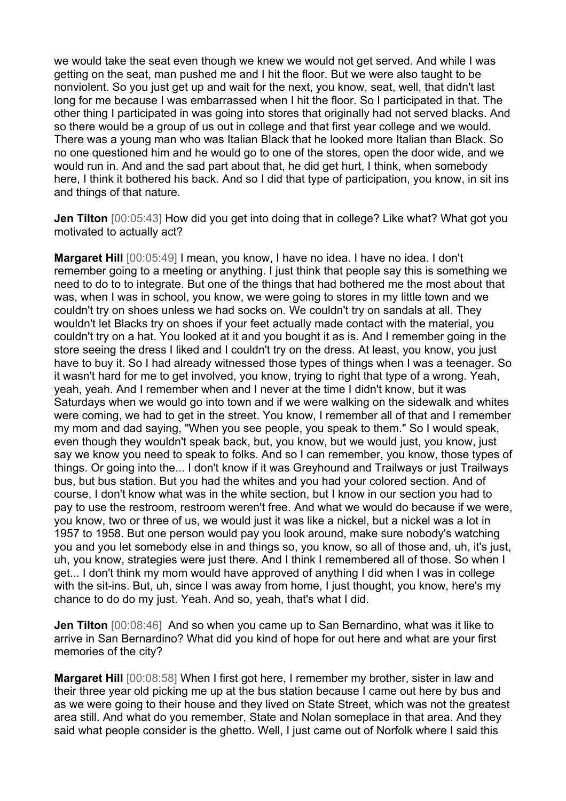we would take the seat even though we knew we would not get served. And while I was getting on the seat, man pushed me and I hit the floor. But we were also taught to be nonviolent. So you just get up and wait for the next, you know, seat, well, that didn't last long for me because I was embarrassed when I hit the floor. So I participated in that. The other thing I participated in was going into stores that originally had not served blacks. And so there would be a group of us out in college and that first year college and we would. There was a young man who was Italian Black that he looked more Italian than Black. So no one questioned him and he would go to one of the stores, open the door wide, and we would run in. And and the sad part about that, he did get hurt, I think, when somebody here, I think it bothered his back. And so I did that type of participation, you know, in sit ins and things of that nature.

**Jen Tilton** [00:05:43] How did you get into doing that in college? Like what? What got you motivated to actually act?

**Margaret Hill** [00:05:49] I mean, you know, I have no idea. I have no idea. I don't remember going to a meeting or anything. I just think that people say this is something we need to do to to integrate. But one of the things that had bothered me the most about that was, when I was in school, you know, we were going to stores in my little town and we couldn't try on shoes unless we had socks on. We couldn't try on sandals at all. They wouldn't let Blacks try on shoes if your feet actually made contact with the material, you couldn't try on a hat. You looked at it and you bought it as is. And I remember going in the store seeing the dress I liked and I couldn't try on the dress. At least, you know, you just have to buy it. So I had already witnessed those types of things when I was a teenager. So it wasn't hard for me to get involved, you know, trying to right that type of a wrong. Yeah, yeah, yeah. And I remember when and I never at the time I didn't know, but it was Saturdays when we would go into town and if we were walking on the sidewalk and whites were coming, we had to get in the street. You know, I remember all of that and I remember my mom and dad saying, "When you see people, you speak to them." So I would speak, even though they wouldn't speak back, but, you know, but we would just, you know, just say we know you need to speak to folks. And so I can remember, you know, those types of things. Or going into the... I don't know if it was Greyhound and Trailways or just Trailways bus, but bus station. But you had the whites and you had your colored section. And of course, I don't know what was in the white section, but I know in our section you had to pay to use the restroom, restroom weren't free. And what we would do because if we were, you know, two or three of us, we would just it was like a nickel, but a nickel was a lot in 1957 to 1958. But one person would pay you look around, make sure nobody's watching you and you let somebody else in and things so, you know, so all of those and, uh, it's just, uh, you know, strategies were just there. And I think I remembered all of those. So when I get... I don't think my mom would have approved of anything I did when I was in college with the sit-ins. But, uh, since I was away from home, I just thought, you know, here's my chance to do do my just. Yeah. And so, yeah, that's what I did.

**Jen Tilton** [00:08:46] And so when you came up to San Bernardino, what was it like to arrive in San Bernardino? What did you kind of hope for out here and what are your first memories of the city?

**Margaret Hill** [00:08:58] When I first got here, I remember my brother, sister in law and their three year old picking me up at the bus station because I came out here by bus and as we were going to their house and they lived on State Street, which was not the greatest area still. And what do you remember, State and Nolan someplace in that area. And they said what people consider is the ghetto. Well, I just came out of Norfolk where I said this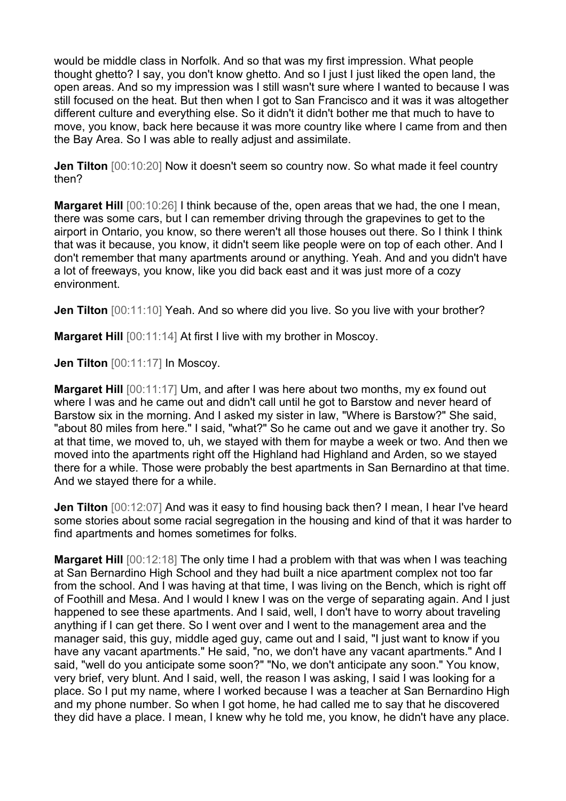would be middle class in Norfolk. And so that was my first impression. What people thought ghetto? I say, you don't know ghetto. And so I just I just liked the open land, the open areas. And so my impression was I still wasn't sure where I wanted to because I was still focused on the heat. But then when I got to San Francisco and it was it was altogether different culture and everything else. So it didn't it didn't bother me that much to have to move, you know, back here because it was more country like where I came from and then the Bay Area. So I was able to really adjust and assimilate.

**Jen Tilton** [00:10:20] Now it doesn't seem so country now. So what made it feel country then?

**Margaret Hill** [00:10:26] I think because of the, open areas that we had, the one I mean, there was some cars, but I can remember driving through the grapevines to get to the airport in Ontario, you know, so there weren't all those houses out there. So I think I think that was it because, you know, it didn't seem like people were on top of each other. And I don't remember that many apartments around or anything. Yeah. And and you didn't have a lot of freeways, you know, like you did back east and it was just more of a cozy environment.

**Jen Tilton** [00:11:10] Yeah. And so where did you live. So you live with your brother?

**Margaret Hill** [00:11:14] At first I live with my brother in Moscoy.

**Jen Tilton** [00:11:17] In Moscoy.

**Margaret Hill**  $[00:11:17]$  Um, and after I was here about two months, my ex found out where I was and he came out and didn't call until he got to Barstow and never heard of Barstow six in the morning. And I asked my sister in law, "Where is Barstow?" She said, "about 80 miles from here." I said, "what?" So he came out and we gave it another try. So at that time, we moved to, uh, we stayed with them for maybe a week or two. And then we moved into the apartments right off the Highland had Highland and Arden, so we stayed there for a while. Those were probably the best apartments in San Bernardino at that time. And we stayed there for a while.

**Jen Tilton** [00:12:07] And was it easy to find housing back then? I mean, I hear I've heard some stories about some racial segregation in the housing and kind of that it was harder to find apartments and homes sometimes for folks.

**Margaret Hill** [00:12:18] The only time I had a problem with that was when I was teaching at San Bernardino High School and they had built a nice apartment complex not too far from the school. And I was having at that time, I was living on the Bench, which is right off of Foothill and Mesa. And I would I knew I was on the verge of separating again. And I just happened to see these apartments. And I said, well, I don't have to worry about traveling anything if I can get there. So I went over and I went to the management area and the manager said, this guy, middle aged guy, came out and I said, "I just want to know if you have any vacant apartments." He said, "no, we don't have any vacant apartments." And I said, "well do you anticipate some soon?" "No, we don't anticipate any soon." You know, very brief, very blunt. And I said, well, the reason I was asking, I said I was looking for a place. So I put my name, where I worked because I was a teacher at San Bernardino High and my phone number. So when I got home, he had called me to say that he discovered they did have a place. I mean, I knew why he told me, you know, he didn't have any place.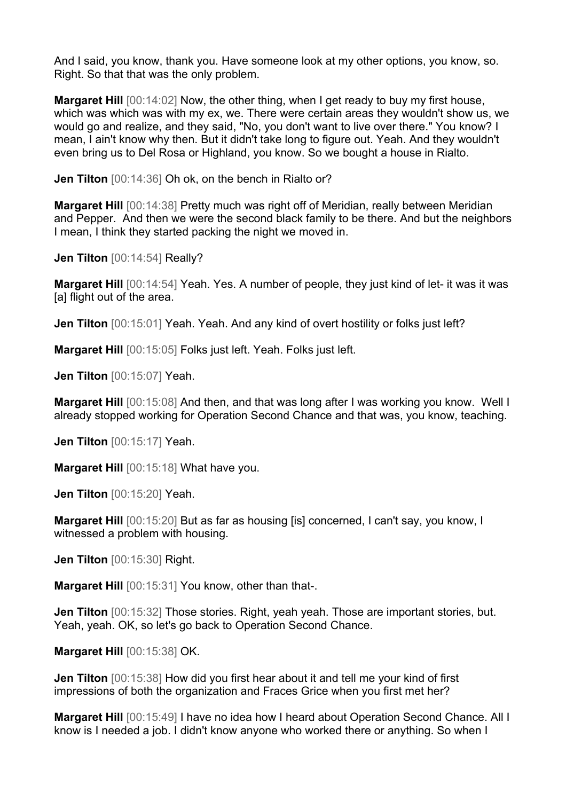And I said, you know, thank you. Have someone look at my other options, you know, so. Right. So that that was the only problem.

**Margaret Hill**  $[00:14:02]$  Now, the other thing, when I get ready to buy my first house, which was which was with my ex, we. There were certain areas they wouldn't show us, we would go and realize, and they said, "No, you don't want to live over there." You know? I mean, I ain't know why then. But it didn't take long to figure out. Yeah. And they wouldn't even bring us to Del Rosa or Highland, you know. So we bought a house in Rialto.

**Jen Tilton** [00:14:36] Oh ok, on the bench in Rialto or?

**Margaret Hill** [00:14:38] Pretty much was right off of Meridian, really between Meridian and Pepper. And then we were the second black family to be there. And but the neighbors I mean, I think they started packing the night we moved in.

**Jen Tilton** [00:14:54] Really?

**Margaret Hill** [00:14:54] Yeah. Yes. A number of people, they just kind of let- it was it was [a] flight out of the area.

**Jen Tilton** [00:15:01] Yeah. Yeah. And any kind of overt hostility or folks just left?

**Margaret Hill** [00:15:05] Folks just left. Yeah. Folks just left.

**Jen Tilton** [00:15:07] Yeah.

**Margaret Hill** [00:15:08] And then, and that was long after I was working you know. Well I already stopped working for Operation Second Chance and that was, you know, teaching.

**Jen Tilton** [00:15:17] Yeah.

**Margaret Hill** [00:15:18] What have you.

**Jen Tilton** [00:15:20] Yeah.

**Margaret Hill**  $[00:15:20]$  But as far as housing [is] concerned, I can't say, you know, I witnessed a problem with housing.

**Jen Tilton** [00:15:30] Right.

**Margaret Hill** [00:15:31] You know, other than that-.

**Jen Tilton** [00:15:32] Those stories. Right, yeah yeah. Those are important stories, but. Yeah, yeah. OK, so let's go back to Operation Second Chance.

**Margaret Hill** [00:15:38] OK.

**Jen Tilton** [00:15:38] How did you first hear about it and tell me your kind of first impressions of both the organization and Fraces Grice when you first met her?

**Margaret Hill** [00:15:49] I have no idea how I heard about Operation Second Chance. All I know is I needed a job. I didn't know anyone who worked there or anything. So when I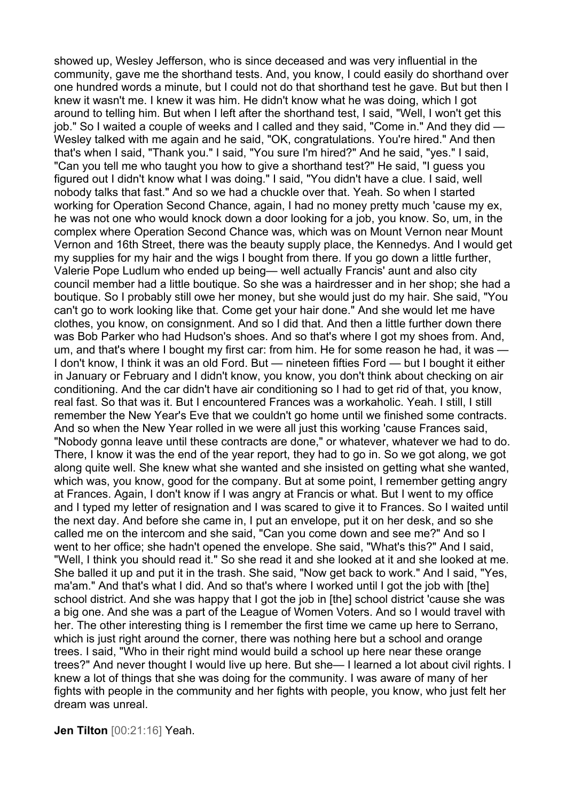showed up, Wesley Jefferson, who is since deceased and was very influential in the community, gave me the shorthand tests. And, you know, I could easily do shorthand over one hundred words a minute, but I could not do that shorthand test he gave. But but then I knew it wasn't me. I knew it was him. He didn't know what he was doing, which I got around to telling him. But when I left after the shorthand test, I said, "Well, I won't get this job." So I waited a couple of weeks and I called and they said, "Come in." And they did — Wesley talked with me again and he said, "OK, congratulations. You're hired." And then that's when I said, "Thank you." I said, "You sure I'm hired?" And he said, "yes." I said, "Can you tell me who taught you how to give a shorthand test?" He said, "I guess you figured out I didn't know what I was doing." I said, "You didn't have a clue. I said, well nobody talks that fast." And so we had a chuckle over that. Yeah. So when I started working for Operation Second Chance, again, I had no money pretty much 'cause my ex, he was not one who would knock down a door looking for a job, you know. So, um, in the complex where Operation Second Chance was, which was on Mount Vernon near Mount Vernon and 16th Street, there was the beauty supply place, the Kennedys. And I would get my supplies for my hair and the wigs I bought from there. If you go down a little further, Valerie Pope Ludlum who ended up being— well actually Francis' aunt and also city council member had a little boutique. So she was a hairdresser and in her shop; she had a boutique. So I probably still owe her money, but she would just do my hair. She said, "You can't go to work looking like that. Come get your hair done." And she would let me have clothes, you know, on consignment. And so I did that. And then a little further down there was Bob Parker who had Hudson's shoes. And so that's where I got my shoes from. And, um, and that's where I bought my first car: from him. He for some reason he had. it was -I don't know, I think it was an old Ford. But — nineteen fifties Ford — but I bought it either in January or February and I didn't know, you know, you don't think about checking on air conditioning. And the car didn't have air conditioning so I had to get rid of that, you know, real fast. So that was it. But I encountered Frances was a workaholic. Yeah. I still, I still remember the New Year's Eve that we couldn't go home until we finished some contracts. And so when the New Year rolled in we were all just this working 'cause Frances said, "Nobody gonna leave until these contracts are done," or whatever, whatever we had to do. There, I know it was the end of the year report, they had to go in. So we got along, we got along quite well. She knew what she wanted and she insisted on getting what she wanted, which was, you know, good for the company. But at some point, I remember getting angry at Frances. Again, I don't know if I was angry at Francis or what. But I went to my office and I typed my letter of resignation and I was scared to give it to Frances. So I waited until the next day. And before she came in, I put an envelope, put it on her desk, and so she called me on the intercom and she said, "Can you come down and see me?" And so I went to her office; she hadn't opened the envelope. She said, "What's this?" And I said, "Well, I think you should read it." So she read it and she looked at it and she looked at me. She balled it up and put it in the trash. She said, "Now get back to work." And I said, "Yes, ma'am." And that's what I did. And so that's where I worked until I got the job with [the] school district. And she was happy that I got the job in [the] school district 'cause she was a big one. And she was a part of the League of Women Voters. And so I would travel with her. The other interesting thing is I remember the first time we came up here to Serrano, which is just right around the corner, there was nothing here but a school and orange trees. I said, "Who in their right mind would build a school up here near these orange trees?" And never thought I would live up here. But she— I learned a lot about civil rights. I knew a lot of things that she was doing for the community. I was aware of many of her fights with people in the community and her fights with people, you know, who just felt her dream was unreal.

**Jen Tilton** [00:21:16] Yeah.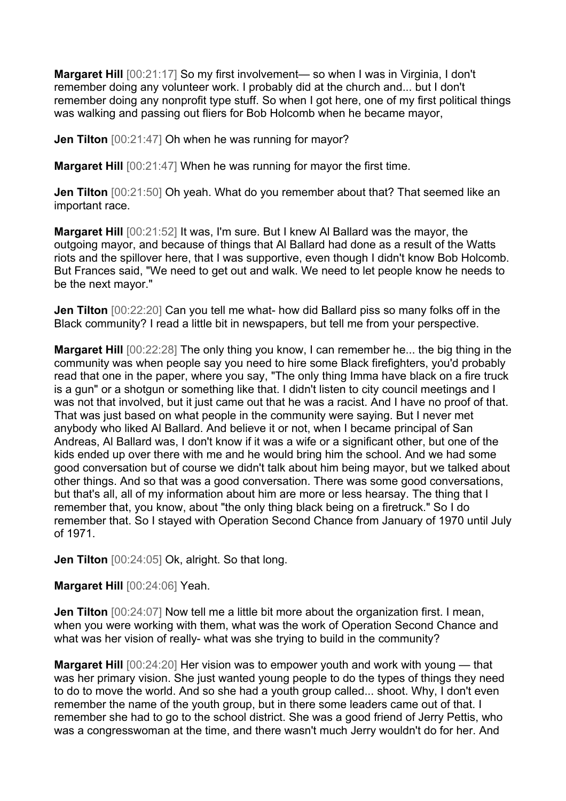**Margaret Hill**  $[00:21:17]$  So my first involvement— so when I was in Virginia, I don't remember doing any volunteer work. I probably did at the church and... but I don't remember doing any nonprofit type stuff. So when I got here, one of my first political things was walking and passing out fliers for Bob Holcomb when he became mayor,

**Jen Tilton**  $[00:21:47]$  Oh when he was running for mayor?

**Margaret Hill** [00:21:47] When he was running for mayor the first time.

**Jen Tilton** [00:21:50] Oh yeah. What do you remember about that? That seemed like an important race.

**Margaret Hill** [00:21:52] It was, I'm sure. But I knew Al Ballard was the mayor, the outgoing mayor, and because of things that Al Ballard had done as a result of the Watts riots and the spillover here, that I was supportive, even though I didn't know Bob Holcomb. But Frances said, "We need to get out and walk. We need to let people know he needs to be the next mayor."

**Jen Tilton** [00:22:20] Can you tell me what- how did Ballard piss so many folks off in the Black community? I read a little bit in newspapers, but tell me from your perspective.

**Margaret Hill**  $[00:22:28]$  The only thing you know, I can remember he... the big thing in the community was when people say you need to hire some Black firefighters, you'd probably read that one in the paper, where you say, "The only thing Imma have black on a fire truck is a gun" or a shotgun or something like that. I didn't listen to city council meetings and I was not that involved, but it just came out that he was a racist. And I have no proof of that. That was just based on what people in the community were saying. But I never met anybody who liked Al Ballard. And believe it or not, when I became principal of San Andreas, Al Ballard was, I don't know if it was a wife or a significant other, but one of the kids ended up over there with me and he would bring him the school. And we had some good conversation but of course we didn't talk about him being mayor, but we talked about other things. And so that was a good conversation. There was some good conversations, but that's all, all of my information about him are more or less hearsay. The thing that I remember that, you know, about "the only thing black being on a firetruck." So I do remember that. So I stayed with Operation Second Chance from January of 1970 until July of 1971.

**Jen Tilton** [00:24:05] Ok, alright. So that long.

**Margaret Hill** [00:24:06] Yeah.

**Jen Tilton** [00:24:07] Now tell me a little bit more about the organization first. I mean, when you were working with them, what was the work of Operation Second Chance and what was her vision of really- what was she trying to build in the community?

**Margaret Hill** [00:24:20] Her vision was to empower youth and work with young — that was her primary vision. She just wanted young people to do the types of things they need to do to move the world. And so she had a youth group called... shoot. Why, I don't even remember the name of the youth group, but in there some leaders came out of that. I remember she had to go to the school district. She was a good friend of Jerry Pettis, who was a congresswoman at the time, and there wasn't much Jerry wouldn't do for her. And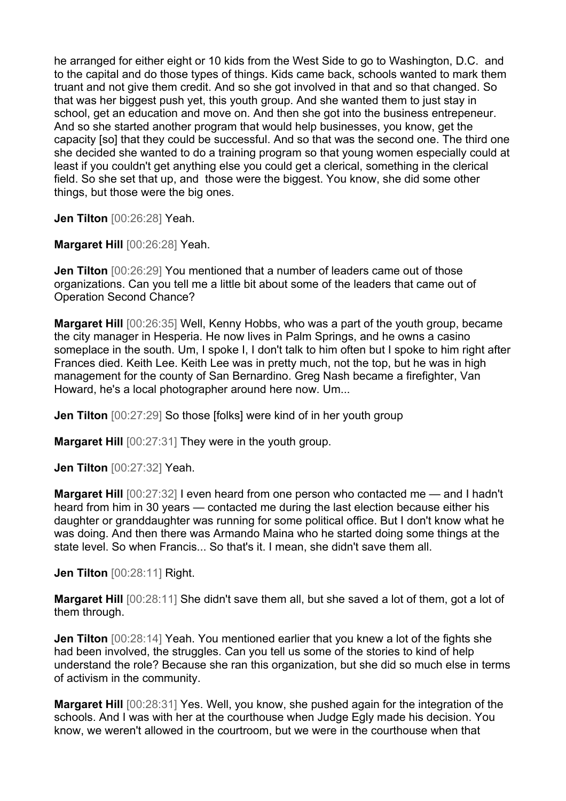he arranged for either eight or 10 kids from the West Side to go to Washington, D.C. and to the capital and do those types of things. Kids came back, schools wanted to mark them truant and not give them credit. And so she got involved in that and so that changed. So that was her biggest push yet, this youth group. And she wanted them to just stay in school, get an education and move on. And then she got into the business entrepeneur. And so she started another program that would help businesses, you know, get the capacity [so] that they could be successful. And so that was the second one. The third one she decided she wanted to do a training program so that young women especially could at least if you couldn't get anything else you could get a clerical, something in the clerical field. So she set that up, and those were the biggest. You know, she did some other things, but those were the big ones.

**Jen Tilton** [00:26:28] Yeah.

**Margaret Hill** [00:26:28] Yeah.

**Jen Tilton** [00:26:29] You mentioned that a number of leaders came out of those organizations. Can you tell me a little bit about some of the leaders that came out of Operation Second Chance?

**Margaret Hill** [00:26:35] Well, Kenny Hobbs, who was a part of the youth group, became the city manager in Hesperia. He now lives in Palm Springs, and he owns a casino someplace in the south. Um, I spoke I, I don't talk to him often but I spoke to him right after Frances died. Keith Lee. Keith Lee was in pretty much, not the top, but he was in high management for the county of San Bernardino. Greg Nash became a firefighter, Van Howard, he's a local photographer around here now. Um...

**Jen Tilton** [00:27:29] So those [folks] were kind of in her youth group

**Margaret Hill** [00:27:31] They were in the youth group.

**Jen Tilton** [00:27:32] Yeah.

**Margaret Hill** [00:27:32] I even heard from one person who contacted me — and I hadn't heard from him in 30 years — contacted me during the last election because either his daughter or granddaughter was running for some political office. But I don't know what he was doing. And then there was Armando Maina who he started doing some things at the state level. So when Francis... So that's it. I mean, she didn't save them all.

**Jen Tilton** [00:28:11] Right.

**Margaret Hill** [00:28:11] She didn't save them all, but she saved a lot of them, got a lot of them through.

**Jen Tilton** [00:28:14] Yeah. You mentioned earlier that you knew a lot of the fights she had been involved, the struggles. Can you tell us some of the stories to kind of help understand the role? Because she ran this organization, but she did so much else in terms of activism in the community.

**Margaret Hill** [00:28:31] Yes. Well, you know, she pushed again for the integration of the schools. And I was with her at the courthouse when Judge Egly made his decision. You know, we weren't allowed in the courtroom, but we were in the courthouse when that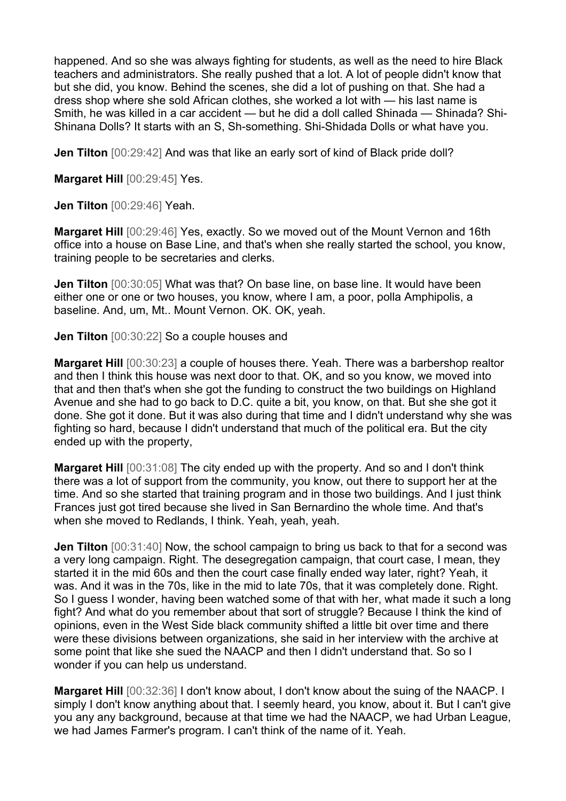happened. And so she was always fighting for students, as well as the need to hire Black teachers and administrators. She really pushed that a lot. A lot of people didn't know that but she did, you know. Behind the scenes, she did a lot of pushing on that. She had a dress shop where she sold African clothes, she worked a lot with — his last name is Smith, he was killed in a car accident — but he did a doll called Shinada — Shinada? Shi-Shinana Dolls? It starts with an S, Sh-something. Shi-Shidada Dolls or what have you.

**Jen Tilton** [00:29:42] And was that like an early sort of kind of Black pride doll?

**Margaret Hill** [00:29:45] Yes.

**Jen Tilton** [00:29:46] Yeah.

**Margaret Hill** [00:29:46] Yes, exactly. So we moved out of the Mount Vernon and 16th office into a house on Base Line, and that's when she really started the school, you know, training people to be secretaries and clerks.

**Jen Tilton** [00:30:05] What was that? On base line, on base line. It would have been either one or one or two houses, you know, where I am, a poor, polla Amphipolis, a baseline. And, um, Mt.. Mount Vernon. OK. OK, yeah.

**Jen Tilton** [00:30:22] So a couple houses and

**Margaret Hill** [00:30:23] a couple of houses there. Yeah. There was a barbershop realtor and then I think this house was next door to that. OK, and so you know, we moved into that and then that's when she got the funding to construct the two buildings on Highland Avenue and she had to go back to D.C. quite a bit, you know, on that. But she she got it done. She got it done. But it was also during that time and I didn't understand why she was fighting so hard, because I didn't understand that much of the political era. But the city ended up with the property,

**Margaret Hill** [00:31:08] The city ended up with the property. And so and I don't think there was a lot of support from the community, you know, out there to support her at the time. And so she started that training program and in those two buildings. And I just think Frances just got tired because she lived in San Bernardino the whole time. And that's when she moved to Redlands, I think. Yeah, yeah, yeah.

**Jen Tilton**  $[00:31:40]$  Now, the school campaign to bring us back to that for a second was a very long campaign. Right. The desegregation campaign, that court case, I mean, they started it in the mid 60s and then the court case finally ended way later, right? Yeah, it was. And it was in the 70s, like in the mid to late 70s, that it was completely done. Right. So I guess I wonder, having been watched some of that with her, what made it such a long fight? And what do you remember about that sort of struggle? Because I think the kind of opinions, even in the West Side black community shifted a little bit over time and there were these divisions between organizations, she said in her interview with the archive at some point that like she sued the NAACP and then I didn't understand that. So so I wonder if you can help us understand.

**Margaret Hill** [00:32:36] I don't know about, I don't know about the suing of the NAACP. I simply I don't know anything about that. I seemly heard, you know, about it. But I can't give you any any background, because at that time we had the NAACP, we had Urban League, we had James Farmer's program. I can't think of the name of it. Yeah.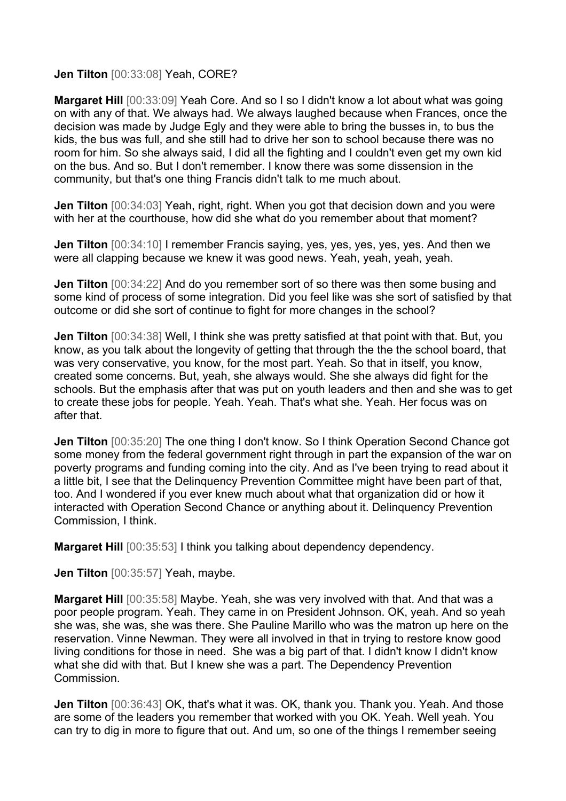## **Jen Tilton** [00:33:08] Yeah, CORE?

**Margaret Hill**  $[00:33:09]$  Yeah Core. And so I so I didn't know a lot about what was going on with any of that. We always had. We always laughed because when Frances, once the decision was made by Judge Egly and they were able to bring the busses in, to bus the kids, the bus was full, and she still had to drive her son to school because there was no room for him. So she always said, I did all the fighting and I couldn't even get my own kid on the bus. And so. But I don't remember. I know there was some dissension in the community, but that's one thing Francis didn't talk to me much about.

**Jen Tilton** [00:34:03] Yeah, right, right. When you got that decision down and you were with her at the courthouse, how did she what do you remember about that moment?

**Jen Tilton** [00:34:10] I remember Francis saying, yes, yes, yes, yes, yes. And then we were all clapping because we knew it was good news. Yeah, yeah, yeah, yeah.

**Jen Tilton** [00:34:22] And do you remember sort of so there was then some busing and some kind of process of some integration. Did you feel like was she sort of satisfied by that outcome or did she sort of continue to fight for more changes in the school?

**Jen Tilton** [00:34:38] Well, I think she was pretty satisfied at that point with that. But, you know, as you talk about the longevity of getting that through the the the school board, that was very conservative, you know, for the most part. Yeah. So that in itself, you know, created some concerns. But, yeah, she always would. She she always did fight for the schools. But the emphasis after that was put on youth leaders and then and she was to get to create these jobs for people. Yeah. Yeah. That's what she. Yeah. Her focus was on after that.

**Jen Tilton** [00:35:20] The one thing I don't know. So I think Operation Second Chance got some money from the federal government right through in part the expansion of the war on poverty programs and funding coming into the city. And as I've been trying to read about it a little bit, I see that the Delinquency Prevention Committee might have been part of that, too. And I wondered if you ever knew much about what that organization did or how it interacted with Operation Second Chance or anything about it. Delinquency Prevention Commission, I think.

**Margaret Hill** [00:35:53] I think you talking about dependency dependency.

**Jen Tilton** [00:35:57] Yeah, maybe.

**Margaret Hill** [00:35:58] Maybe. Yeah, she was very involved with that. And that was a poor people program. Yeah. They came in on President Johnson. OK, yeah. And so yeah she was, she was, she was there. She Pauline Marillo who was the matron up here on the reservation. Vinne Newman. They were all involved in that in trying to restore know good living conditions for those in need. She was a big part of that. I didn't know I didn't know what she did with that. But I knew she was a part. The Dependency Prevention Commission.

**Jen Tilton** [00:36:43] OK, that's what it was. OK, thank you. Thank you. Yeah. And those are some of the leaders you remember that worked with you OK. Yeah. Well yeah. You can try to dig in more to figure that out. And um, so one of the things I remember seeing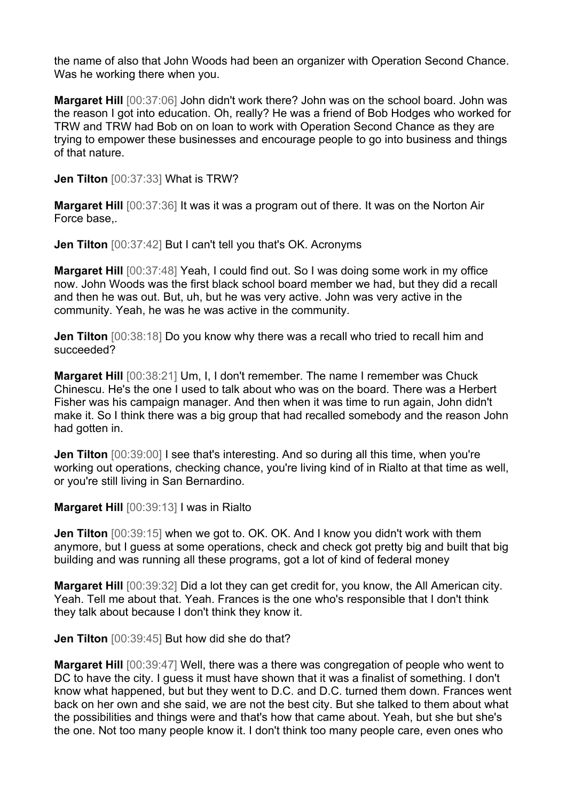the name of also that John Woods had been an organizer with Operation Second Chance. Was he working there when you.

**Margaret Hill** [00:37:06] John didn't work there? John was on the school board. John was the reason I got into education. Oh, really? He was a friend of Bob Hodges who worked for TRW and TRW had Bob on on loan to work with Operation Second Chance as they are trying to empower these businesses and encourage people to go into business and things of that nature.

**Jen Tilton** [00:37:33] What is TRW?

**Margaret Hill** [00:37:36] It was it was a program out of there. It was on the Norton Air Force base,.

**Jen Tilton** [00:37:42] But I can't tell you that's OK. Acronyms

**Margaret Hill** [00:37:48] Yeah, I could find out. So I was doing some work in my office now. John Woods was the first black school board member we had, but they did a recall and then he was out. But, uh, but he was very active. John was very active in the community. Yeah, he was he was active in the community.

**Jen Tilton** [00:38:18] Do you know why there was a recall who tried to recall him and succeeded?

**Margaret Hill** [00:38:21] Um, I, I don't remember. The name I remember was Chuck Chinescu. He's the one I used to talk about who was on the board. There was a Herbert Fisher was his campaign manager. And then when it was time to run again, John didn't make it. So I think there was a big group that had recalled somebody and the reason John had gotten in.

**Jen Tilton** [00:39:00] I see that's interesting. And so during all this time, when you're working out operations, checking chance, you're living kind of in Rialto at that time as well, or you're still living in San Bernardino.

**Margaret Hill** [00:39:13] I was in Rialto

**Jen Tilton** [00:39:15] when we got to. OK. OK. And I know you didn't work with them anymore, but I guess at some operations, check and check got pretty big and built that big building and was running all these programs, got a lot of kind of federal money

**Margaret Hill** [00:39:32] Did a lot they can get credit for, you know, the All American city. Yeah. Tell me about that. Yeah. Frances is the one who's responsible that I don't think they talk about because I don't think they know it.

**Jen Tilton** [00:39:45] But how did she do that?

**Margaret Hill** [00:39:47] Well, there was a there was congregation of people who went to DC to have the city. I guess it must have shown that it was a finalist of something. I don't know what happened, but but they went to D.C. and D.C. turned them down. Frances went back on her own and she said, we are not the best city. But she talked to them about what the possibilities and things were and that's how that came about. Yeah, but she but she's the one. Not too many people know it. I don't think too many people care, even ones who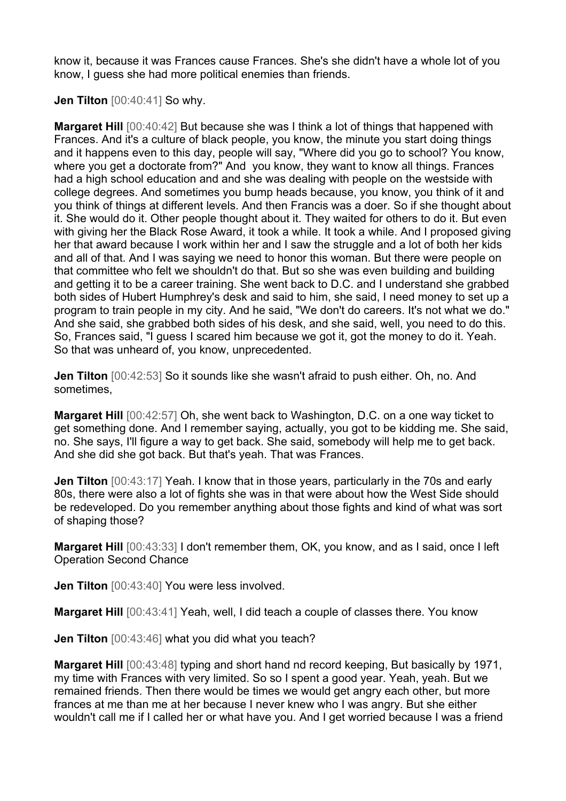know it, because it was Frances cause Frances. She's she didn't have a whole lot of you know, I guess she had more political enemies than friends.

**Jen Tilton** [00:40:41] So why.

**Margaret Hill**  $[00:40:42]$  But because she was I think a lot of things that happened with Frances. And it's a culture of black people, you know, the minute you start doing things and it happens even to this day, people will say, "Where did you go to school? You know, where you get a doctorate from?" And you know, they want to know all things. Frances had a high school education and and she was dealing with people on the westside with college degrees. And sometimes you bump heads because, you know, you think of it and you think of things at different levels. And then Francis was a doer. So if she thought about it. She would do it. Other people thought about it. They waited for others to do it. But even with giving her the Black Rose Award, it took a while. It took a while. And I proposed giving her that award because I work within her and I saw the struggle and a lot of both her kids and all of that. And I was saying we need to honor this woman. But there were people on that committee who felt we shouldn't do that. But so she was even building and building and getting it to be a career training. She went back to D.C. and I understand she grabbed both sides of Hubert Humphrey's desk and said to him, she said, I need money to set up a program to train people in my city. And he said, "We don't do careers. It's not what we do." And she said, she grabbed both sides of his desk, and she said, well, you need to do this. So, Frances said, "I guess I scared him because we got it, got the money to do it. Yeah. So that was unheard of, you know, unprecedented.

**Jen Tilton** [00:42:53] So it sounds like she wasn't afraid to push either. Oh, no. And sometimes,

**Margaret Hill** [00:42:57] Oh, she went back to Washington, D.C. on a one way ticket to get something done. And I remember saying, actually, you got to be kidding me. She said, no. She says, I'll figure a way to get back. She said, somebody will help me to get back. And she did she got back. But that's yeah. That was Frances.

**Jen Tilton** [00:43:17] Yeah. I know that in those years, particularly in the 70s and early 80s, there were also a lot of fights she was in that were about how the West Side should be redeveloped. Do you remember anything about those fights and kind of what was sort of shaping those?

**Margaret Hill** [00:43:33] I don't remember them, OK, you know, and as I said, once I left Operation Second Chance

**Jen Tilton** [00:43:40] You were less involved.

**Margaret Hill** [00:43:41] Yeah, well, I did teach a couple of classes there. You know

**Jen Tilton** [00:43:46] what you did what you teach?

**Margaret Hill** [00:43:48] typing and short hand nd record keeping, But basically by 1971, my time with Frances with very limited. So so I spent a good year. Yeah, yeah. But we remained friends. Then there would be times we would get angry each other, but more frances at me than me at her because I never knew who I was angry. But she either wouldn't call me if I called her or what have you. And I get worried because I was a friend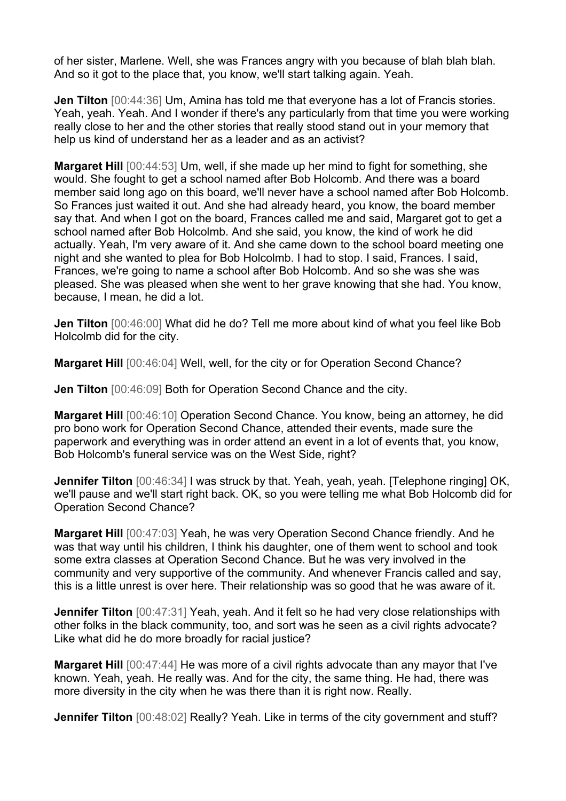of her sister, Marlene. Well, she was Frances angry with you because of blah blah blah. And so it got to the place that, you know, we'll start talking again. Yeah.

**Jen Tilton**  $[00:44:36]$  Um, Amina has told me that everyone has a lot of Francis stories. Yeah, yeah. Yeah. And I wonder if there's any particularly from that time you were working really close to her and the other stories that really stood stand out in your memory that help us kind of understand her as a leader and as an activist?

**Margaret Hill** [00:44:53] Um, well, if she made up her mind to fight for something, she would. She fought to get a school named after Bob Holcomb. And there was a board member said long ago on this board, we'll never have a school named after Bob Holcomb. So Frances just waited it out. And she had already heard, you know, the board member say that. And when I got on the board, Frances called me and said, Margaret got to get a school named after Bob Holcolmb. And she said, you know, the kind of work he did actually. Yeah, I'm very aware of it. And she came down to the school board meeting one night and she wanted to plea for Bob Holcolmb. I had to stop. I said, Frances. I said, Frances, we're going to name a school after Bob Holcomb. And so she was she was pleased. She was pleased when she went to her grave knowing that she had. You know, because, I mean, he did a lot.

**Jen Tilton** [00:46:00] What did he do? Tell me more about kind of what you feel like Bob Holcolmb did for the city.

**Margaret Hill**  $[00:46:04]$  Well, well, for the city or for Operation Second Chance?

**Jen Tilton** [00:46:09] Both for Operation Second Chance and the city.

**Margaret Hill** [00:46:10] Operation Second Chance. You know, being an attorney, he did pro bono work for Operation Second Chance, attended their events, made sure the paperwork and everything was in order attend an event in a lot of events that, you know, Bob Holcomb's funeral service was on the West Side, right?

**Jennifer Tilton** [00:46:34] I was struck by that. Yeah, yeah, yeah. [Telephone ringing] OK, we'll pause and we'll start right back. OK, so you were telling me what Bob Holcomb did for Operation Second Chance?

**Margaret Hill** [00:47:03] Yeah, he was very Operation Second Chance friendly. And he was that way until his children, I think his daughter, one of them went to school and took some extra classes at Operation Second Chance. But he was very involved in the community and very supportive of the community. And whenever Francis called and say, this is a little unrest is over here. Their relationship was so good that he was aware of it.

**Jennifer Tilton** [00:47:31] Yeah, yeah. And it felt so he had very close relationships with other folks in the black community, too, and sort was he seen as a civil rights advocate? Like what did he do more broadly for racial justice?

**Margaret Hill** [00:47:44] He was more of a civil rights advocate than any mayor that I've known. Yeah, yeah. He really was. And for the city, the same thing. He had, there was more diversity in the city when he was there than it is right now. Really.

**Jennifer Tilton** [00:48:02] Really? Yeah. Like in terms of the city government and stuff?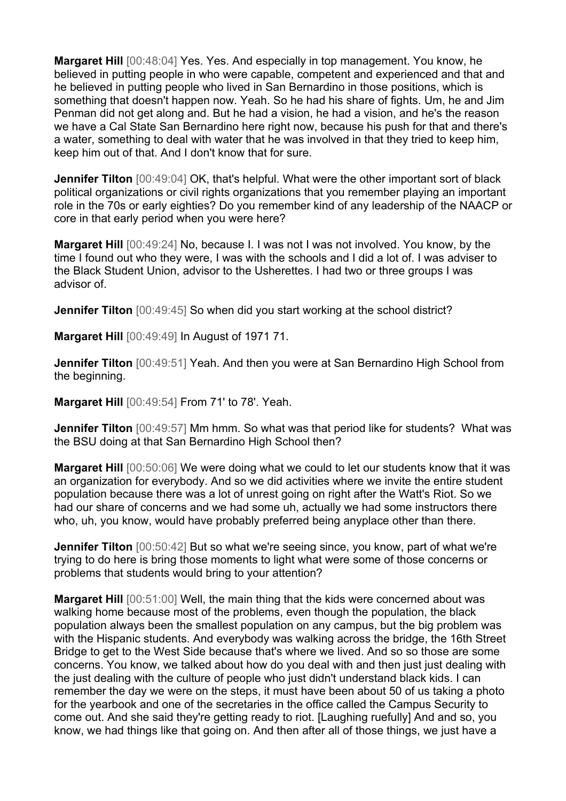**Margaret Hill** [00:48:04] Yes. Yes. And especially in top management. You know, he believed in putting people in who were capable, competent and experienced and that and he believed in putting people who lived in San Bernardino in those positions, which is something that doesn't happen now. Yeah. So he had his share of fights. Um, he and Jim Penman did not get along and. But he had a vision, he had a vision, and he's the reason we have a Cal State San Bernardino here right now, because his push for that and there's a water, something to deal with water that he was involved in that they tried to keep him, keep him out of that. And I don't know that for sure.

**Jennifer Tilton** [00:49:04] OK, that's helpful. What were the other important sort of black political organizations or civil rights organizations that you remember playing an important role in the 70s or early eighties? Do you remember kind of any leadership of the NAACP or core in that early period when you were here?

**Margaret Hill** [00:49:24] No, because I. I was not I was not involved. You know, by the time I found out who they were, I was with the schools and I did a lot of. I was adviser to the Black Student Union, advisor to the Usherettes. I had two or three groups I was advisor of.

**Jennifer Tilton** [00:49:45] So when did you start working at the school district?

**Margaret Hill** [00:49:49] In August of 1971 71.

**Jennifer Tilton**  $[00:49:51]$  Yeah. And then you were at San Bernardino High School from the beginning.

**Margaret Hill** [00:49:54] From 71' to 78'. Yeah.

**Jennifer Tilton** [00:49:57] Mm hmm. So what was that period like for students? What was the BSU doing at that San Bernardino High School then?

**Margaret Hill** [00:50:06] We were doing what we could to let our students know that it was an organization for everybody. And so we did activities where we invite the entire student population because there was a lot of unrest going on right after the Watt's Riot. So we had our share of concerns and we had some uh, actually we had some instructors there who, uh, you know, would have probably preferred being anyplace other than there.

**Jennifer Tilton** [00:50:42] But so what we're seeing since, you know, part of what we're trying to do here is bring those moments to light what were some of those concerns or problems that students would bring to your attention?

**Margaret Hill** [00:51:00] Well, the main thing that the kids were concerned about was walking home because most of the problems, even though the population, the black population always been the smallest population on any campus, but the big problem was with the Hispanic students. And everybody was walking across the bridge, the 16th Street Bridge to get to the West Side because that's where we lived. And so so those are some concerns. You know, we talked about how do you deal with and then just just dealing with the just dealing with the culture of people who just didn't understand black kids. I can remember the day we were on the steps, it must have been about 50 of us taking a photo for the yearbook and one of the secretaries in the office called the Campus Security to come out. And she said they're getting ready to riot. [Laughing ruefully] And and so, you know, we had things like that going on. And then after all of those things, we just have a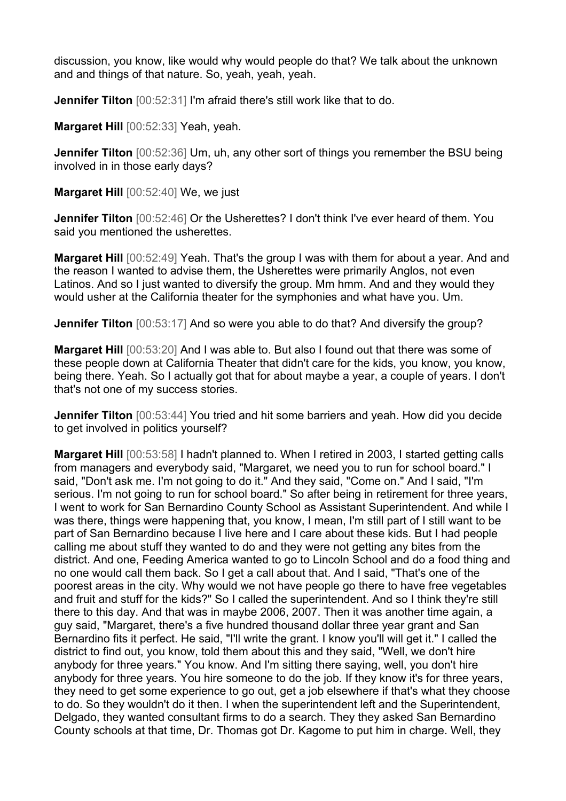discussion, you know, like would why would people do that? We talk about the unknown and and things of that nature. So, yeah, yeah, yeah.

**Jennifer Tilton**  $[00:52:31]$  I'm afraid there's still work like that to do.

**Margaret Hill** [00:52:33] Yeah, yeah.

**Jennifer Tilton** [00:52:36] Um, uh, any other sort of things you remember the BSU being involved in in those early days?

**Margaret Hill** [00:52:40] We, we just

**Jennifer Tilton** [00:52:46] Or the Usherettes? I don't think I've ever heard of them. You said you mentioned the usherettes.

**Margaret Hill** [00:52:49] Yeah. That's the group I was with them for about a year. And and the reason I wanted to advise them, the Usherettes were primarily Anglos, not even Latinos. And so I just wanted to diversify the group. Mm hmm. And and they would they would usher at the California theater for the symphonies and what have you. Um.

**Jennifer Tilton** [00:53:17] And so were you able to do that? And diversify the group?

**Margaret Hill** [00:53:20] And I was able to. But also I found out that there was some of these people down at California Theater that didn't care for the kids, you know, you know, being there. Yeah. So I actually got that for about maybe a year, a couple of years. I don't that's not one of my success stories.

**Jennifer Tilton** [00:53:44] You tried and hit some barriers and yeah. How did you decide to get involved in politics yourself?

**Margaret Hill** [00:53:58] I hadn't planned to. When I retired in 2003, I started getting calls from managers and everybody said, "Margaret, we need you to run for school board." I said, "Don't ask me. I'm not going to do it." And they said, "Come on." And I said, "I'm serious. I'm not going to run for school board." So after being in retirement for three years, I went to work for San Bernardino County School as Assistant Superintendent. And while I was there, things were happening that, you know, I mean, I'm still part of I still want to be part of San Bernardino because I live here and I care about these kids. But I had people calling me about stuff they wanted to do and they were not getting any bites from the district. And one, Feeding America wanted to go to Lincoln School and do a food thing and no one would call them back. So I get a call about that. And I said, "That's one of the poorest areas in the city. Why would we not have people go there to have free vegetables and fruit and stuff for the kids?" So I called the superintendent. And so I think they're still there to this day. And that was in maybe 2006, 2007. Then it was another time again, a guy said, "Margaret, there's a five hundred thousand dollar three year grant and San Bernardino fits it perfect. He said, "I'll write the grant. I know you'll will get it." I called the district to find out, you know, told them about this and they said, "Well, we don't hire anybody for three years." You know. And I'm sitting there saying, well, you don't hire anybody for three years. You hire someone to do the job. If they know it's for three years, they need to get some experience to go out, get a job elsewhere if that's what they choose to do. So they wouldn't do it then. I when the superintendent left and the Superintendent, Delgado, they wanted consultant firms to do a search. They they asked San Bernardino County schools at that time, Dr. Thomas got Dr. Kagome to put him in charge. Well, they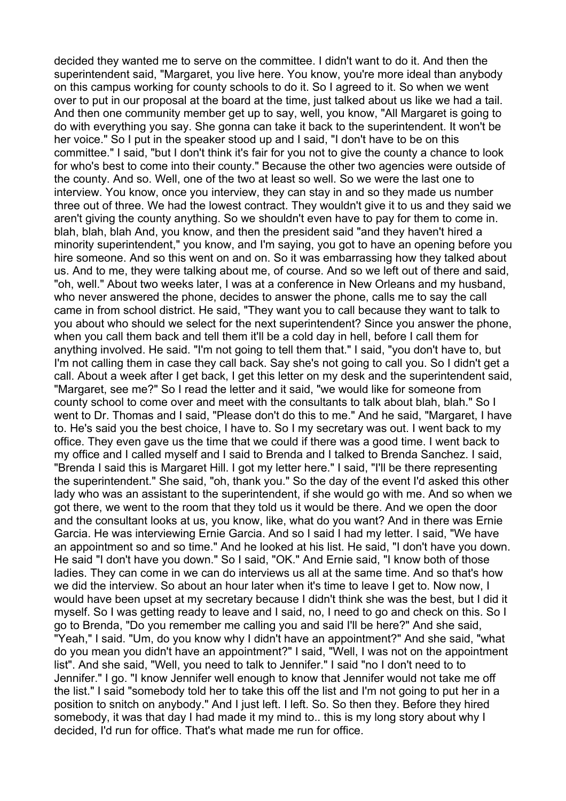decided they wanted me to serve on the committee. I didn't want to do it. And then the superintendent said, "Margaret, you live here. You know, you're more ideal than anybody on this campus working for county schools to do it. So I agreed to it. So when we went over to put in our proposal at the board at the time, just talked about us like we had a tail. And then one community member get up to say, well, you know, "All Margaret is going to do with everything you say. She gonna can take it back to the superintendent. It won't be her voice." So I put in the speaker stood up and I said, "I don't have to be on this committee." I said, "but I don't think it's fair for you not to give the county a chance to look for who's best to come into their county." Because the other two agencies were outside of the county. And so. Well, one of the two at least so well. So we were the last one to interview. You know, once you interview, they can stay in and so they made us number three out of three. We had the lowest contract. They wouldn't give it to us and they said we aren't giving the county anything. So we shouldn't even have to pay for them to come in. blah, blah, blah And, you know, and then the president said "and they haven't hired a minority superintendent," you know, and I'm saying, you got to have an opening before you hire someone. And so this went on and on. So it was embarrassing how they talked about us. And to me, they were talking about me, of course. And so we left out of there and said, "oh, well." About two weeks later, I was at a conference in New Orleans and my husband, who never answered the phone, decides to answer the phone, calls me to say the call came in from school district. He said, "They want you to call because they want to talk to you about who should we select for the next superintendent? Since you answer the phone, when you call them back and tell them it'll be a cold day in hell, before I call them for anything involved. He said. "I'm not going to tell them that." I said, "you don't have to, but I'm not calling them in case they call back. Say she's not going to call you. So I didn't get a call. About a week after I get back, I get this letter on my desk and the superintendent said, "Margaret, see me?" So I read the letter and it said, "we would like for someone from county school to come over and meet with the consultants to talk about blah, blah." So I went to Dr. Thomas and I said, "Please don't do this to me." And he said, "Margaret, I have to. He's said you the best choice, I have to. So I my secretary was out. I went back to my office. They even gave us the time that we could if there was a good time. I went back to my office and I called myself and I said to Brenda and I talked to Brenda Sanchez. I said, "Brenda I said this is Margaret Hill. I got my letter here." I said, "I'll be there representing the superintendent." She said, "oh, thank you." So the day of the event I'd asked this other lady who was an assistant to the superintendent, if she would go with me. And so when we got there, we went to the room that they told us it would be there. And we open the door and the consultant looks at us, you know, like, what do you want? And in there was Ernie Garcia. He was interviewing Ernie Garcia. And so I said I had my letter. I said, "We have an appointment so and so time." And he looked at his list. He said, "I don't have you down. He said "I don't have you down." So I said, "OK." And Ernie said, "I know both of those ladies. They can come in we can do interviews us all at the same time. And so that's how we did the interview. So about an hour later when it's time to leave I get to. Now now, I would have been upset at my secretary because I didn't think she was the best, but I did it myself. So I was getting ready to leave and I said, no, I need to go and check on this. So I go to Brenda, "Do you remember me calling you and said I'll be here?" And she said, "Yeah," I said. "Um, do you know why I didn't have an appointment?" And she said, "what do you mean you didn't have an appointment?" I said, "Well, I was not on the appointment list". And she said, "Well, you need to talk to Jennifer." I said "no I don't need to to Jennifer." I go. "I know Jennifer well enough to know that Jennifer would not take me off the list." I said "somebody told her to take this off the list and I'm not going to put her in a position to snitch on anybody." And I just left. I left. So. So then they. Before they hired somebody, it was that day I had made it my mind to.. this is my long story about why I decided, I'd run for office. That's what made me run for office.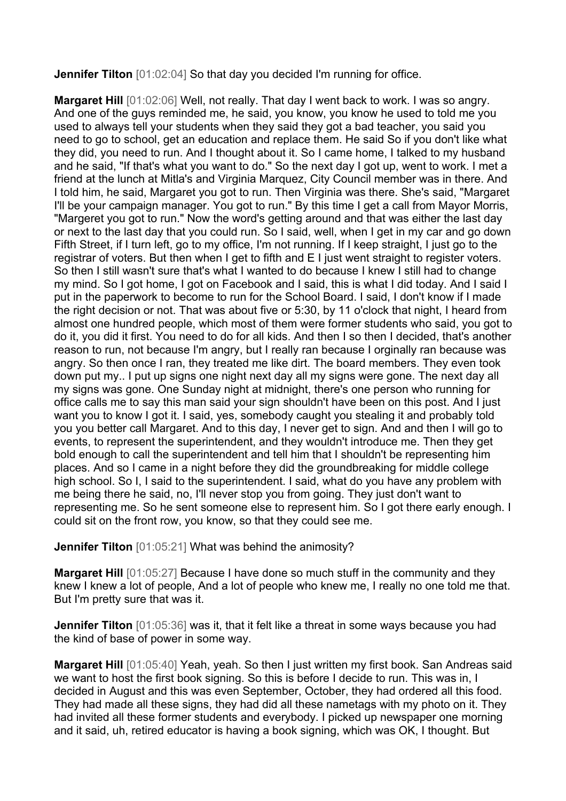**Jennifer Tilton** [01:02:04] So that day you decided I'm running for office.

**Margaret Hill** [01:02:06] Well, not really. That day I went back to work. I was so angry. And one of the guys reminded me, he said, you know, you know he used to told me you used to always tell your students when they said they got a bad teacher, you said you need to go to school, get an education and replace them. He said So if you don't like what they did, you need to run. And I thought about it. So I came home, I talked to my husband and he said, "If that's what you want to do." So the next day I got up, went to work. I met a friend at the lunch at Mitla's and Virginia Marquez, City Council member was in there. And I told him, he said, Margaret you got to run. Then Virginia was there. She's said, "Margaret I'll be your campaign manager. You got to run." By this time I get a call from Mayor Morris, "Margeret you got to run." Now the word's getting around and that was either the last day or next to the last day that you could run. So I said, well, when I get in my car and go down Fifth Street, if I turn left, go to my office, I'm not running. If I keep straight, I just go to the registrar of voters. But then when I get to fifth and E I just went straight to register voters. So then I still wasn't sure that's what I wanted to do because I knew I still had to change my mind. So I got home, I got on Facebook and I said, this is what I did today. And I said I put in the paperwork to become to run for the School Board. I said, I don't know if I made the right decision or not. That was about five or 5:30, by 11 o'clock that night, I heard from almost one hundred people, which most of them were former students who said, you got to do it, you did it first. You need to do for all kids. And then I so then I decided, that's another reason to run, not because I'm angry, but I really ran because I orginally ran because was angry. So then once I ran, they treated me like dirt. The board members. They even took down put my.. I put up signs one night next day all my signs were gone. The next day all my signs was gone. One Sunday night at midnight, there's one person who running for office calls me to say this man said your sign shouldn't have been on this post. And I just want you to know I got it. I said, yes, somebody caught you stealing it and probably told you you better call Margaret. And to this day, I never get to sign. And and then I will go to events, to represent the superintendent, and they wouldn't introduce me. Then they get bold enough to call the superintendent and tell him that I shouldn't be representing him places. And so I came in a night before they did the groundbreaking for middle college high school. So I, I said to the superintendent. I said, what do you have any problem with me being there he said, no, I'll never stop you from going. They just don't want to representing me. So he sent someone else to represent him. So I got there early enough. I could sit on the front row, you know, so that they could see me.

**Jennifer Tilton** [01:05:21] What was behind the animosity?

**Margaret Hill** [01:05:27] Because I have done so much stuff in the community and they knew I knew a lot of people, And a lot of people who knew me, I really no one told me that. But I'm pretty sure that was it.

**Jennifer Tilton** [01:05:36] was it, that it felt like a threat in some ways because you had the kind of base of power in some way.

**Margaret Hill** [01:05:40] Yeah, yeah. So then I just written my first book. San Andreas said we want to host the first book signing. So this is before I decide to run. This was in, I decided in August and this was even September, October, they had ordered all this food. They had made all these signs, they had did all these nametags with my photo on it. They had invited all these former students and everybody. I picked up newspaper one morning and it said, uh, retired educator is having a book signing, which was OK, I thought. But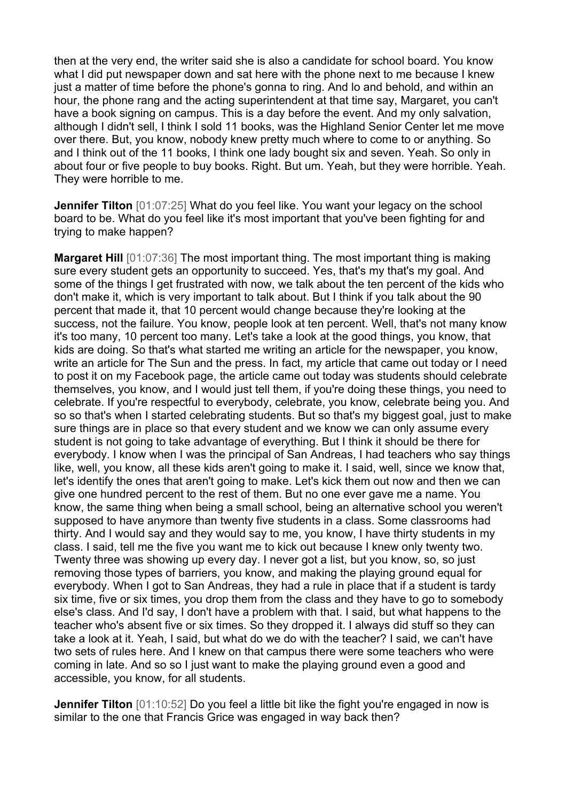then at the very end, the writer said she is also a candidate for school board. You know what I did put newspaper down and sat here with the phone next to me because I knew just a matter of time before the phone's gonna to ring. And lo and behold, and within an hour, the phone rang and the acting superintendent at that time say, Margaret, you can't have a book signing on campus. This is a day before the event. And my only salvation, although I didn't sell, I think I sold 11 books, was the Highland Senior Center let me move over there. But, you know, nobody knew pretty much where to come to or anything. So and I think out of the 11 books, I think one lady bought six and seven. Yeah. So only in about four or five people to buy books. Right. But um. Yeah, but they were horrible. Yeah. They were horrible to me.

**Jennifer Tilton** [01:07:25] What do you feel like. You want your legacy on the school board to be. What do you feel like it's most important that you've been fighting for and trying to make happen?

**Margaret Hill** [01:07:36] The most important thing. The most important thing is making sure every student gets an opportunity to succeed. Yes, that's my that's my goal. And some of the things I get frustrated with now, we talk about the ten percent of the kids who don't make it, which is very important to talk about. But I think if you talk about the 90 percent that made it, that 10 percent would change because they're looking at the success, not the failure. You know, people look at ten percent. Well, that's not many know it's too many, 10 percent too many. Let's take a look at the good things, you know, that kids are doing. So that's what started me writing an article for the newspaper, you know, write an article for The Sun and the press. In fact, my article that came out today or I need to post it on my Facebook page, the article came out today was students should celebrate themselves, you know, and I would just tell them, if you're doing these things, you need to celebrate. If you're respectful to everybody, celebrate, you know, celebrate being you. And so so that's when I started celebrating students. But so that's my biggest goal, just to make sure things are in place so that every student and we know we can only assume every student is not going to take advantage of everything. But I think it should be there for everybody. I know when I was the principal of San Andreas, I had teachers who say things like, well, you know, all these kids aren't going to make it. I said, well, since we know that, let's identify the ones that aren't going to make. Let's kick them out now and then we can give one hundred percent to the rest of them. But no one ever gave me a name. You know, the same thing when being a small school, being an alternative school you weren't supposed to have anymore than twenty five students in a class. Some classrooms had thirty. And I would say and they would say to me, you know, I have thirty students in my class. I said, tell me the five you want me to kick out because I knew only twenty two. Twenty three was showing up every day. I never got a list, but you know, so, so just removing those types of barriers, you know, and making the playing ground equal for everybody. When I got to San Andreas, they had a rule in place that if a student is tardy six time, five or six times, you drop them from the class and they have to go to somebody else's class. And I'd say, I don't have a problem with that. I said, but what happens to the teacher who's absent five or six times. So they dropped it. I always did stuff so they can take a look at it. Yeah, I said, but what do we do with the teacher? I said, we can't have two sets of rules here. And I knew on that campus there were some teachers who were coming in late. And so so I just want to make the playing ground even a good and accessible, you know, for all students.

**Jennifer Tilton** [01:10:52] Do you feel a little bit like the fight you're engaged in now is similar to the one that Francis Grice was engaged in way back then?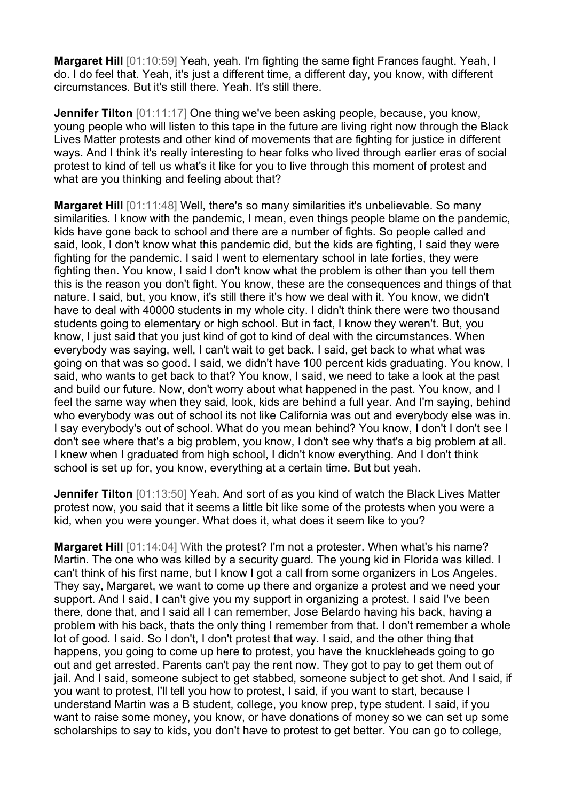**Margaret Hill** [01:10:59] Yeah, yeah. I'm fighting the same fight Frances faught. Yeah, I do. I do feel that. Yeah, it's just a different time, a different day, you know, with different circumstances. But it's still there. Yeah. It's still there.

**Jennifer Tilton** [01:11:17] One thing we've been asking people, because, you know, young people who will listen to this tape in the future are living right now through the Black Lives Matter protests and other kind of movements that are fighting for justice in different ways. And I think it's really interesting to hear folks who lived through earlier eras of social protest to kind of tell us what's it like for you to live through this moment of protest and what are you thinking and feeling about that?

**Margaret Hill** [01:11:48] Well, there's so many similarities it's unbelievable. So many similarities. I know with the pandemic, I mean, even things people blame on the pandemic, kids have gone back to school and there are a number of fights. So people called and said, look, I don't know what this pandemic did, but the kids are fighting, I said they were fighting for the pandemic. I said I went to elementary school in late forties, they were fighting then. You know, I said I don't know what the problem is other than you tell them this is the reason you don't fight. You know, these are the consequences and things of that nature. I said, but, you know, it's still there it's how we deal with it. You know, we didn't have to deal with 40000 students in my whole city. I didn't think there were two thousand students going to elementary or high school. But in fact, I know they weren't. But, you know, I just said that you just kind of got to kind of deal with the circumstances. When everybody was saying, well, I can't wait to get back. I said, get back to what what was going on that was so good. I said, we didn't have 100 percent kids graduating. You know, I said, who wants to get back to that? You know, I said, we need to take a look at the past and build our future. Now, don't worry about what happened in the past. You know, and I feel the same way when they said, look, kids are behind a full year. And I'm saying, behind who everybody was out of school its not like California was out and everybody else was in. I say everybody's out of school. What do you mean behind? You know, I don't I don't see I don't see where that's a big problem, you know, I don't see why that's a big problem at all. I knew when I graduated from high school, I didn't know everything. And I don't think school is set up for, you know, everything at a certain time. But but yeah.

**Jennifer Tilton** [01:13:50] Yeah. And sort of as you kind of watch the Black Lives Matter protest now, you said that it seems a little bit like some of the protests when you were a kid, when you were younger. What does it, what does it seem like to you?

**Margaret Hill**  $[01:14:04]$  With the protest? I'm not a protester. When what's his name? Martin. The one who was killed by a security guard. The young kid in Florida was killed. I can't think of his first name, but I know I got a call from some organizers in Los Angeles. They say, Margaret, we want to come up there and organize a protest and we need your support. And I said, I can't give you my support in organizing a protest. I said I've been there, done that, and I said all I can remember, Jose Belardo having his back, having a problem with his back, thats the only thing I remember from that. I don't remember a whole lot of good. I said. So I don't, I don't protest that way. I said, and the other thing that happens, you going to come up here to protest, you have the knuckleheads going to go out and get arrested. Parents can't pay the rent now. They got to pay to get them out of jail. And I said, someone subject to get stabbed, someone subject to get shot. And I said, if you want to protest, I'll tell you how to protest, I said, if you want to start, because I understand Martin was a B student, college, you know prep, type student. I said, if you want to raise some money, you know, or have donations of money so we can set up some scholarships to say to kids, you don't have to protest to get better. You can go to college,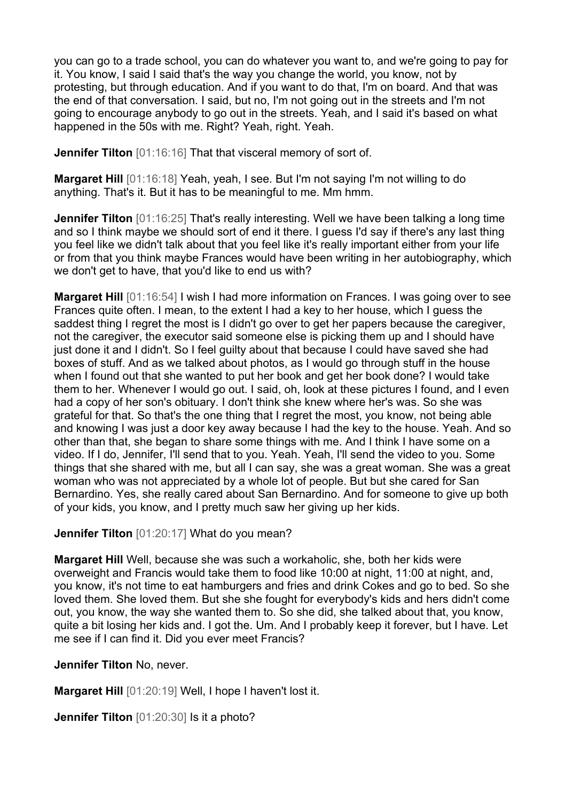you can go to a trade school, you can do whatever you want to, and we're going to pay for it. You know, I said I said that's the way you change the world, you know, not by protesting, but through education. And if you want to do that, I'm on board. And that was the end of that conversation. I said, but no, I'm not going out in the streets and I'm not going to encourage anybody to go out in the streets. Yeah, and I said it's based on what happened in the 50s with me. Right? Yeah, right. Yeah.

**Jennifer Tilton** [01:16:16] That that visceral memory of sort of.

**Margaret Hill** [01:16:18] Yeah, yeah, I see. But I'm not saying I'm not willing to do anything. That's it. But it has to be meaningful to me. Mm hmm.

**Jennifer Tilton** [01:16:25] That's really interesting. Well we have been talking a long time and so I think maybe we should sort of end it there. I guess I'd say if there's any last thing you feel like we didn't talk about that you feel like it's really important either from your life or from that you think maybe Frances would have been writing in her autobiography, which we don't get to have, that you'd like to end us with?

**Margaret Hill** [01:16:54] I wish I had more information on Frances. I was going over to see Frances quite often. I mean, to the extent I had a key to her house, which I guess the saddest thing I regret the most is I didn't go over to get her papers because the caregiver, not the caregiver, the executor said someone else is picking them up and I should have just done it and I didn't. So I feel guilty about that because I could have saved she had boxes of stuff. And as we talked about photos, as I would go through stuff in the house when I found out that she wanted to put her book and get her book done? I would take them to her. Whenever I would go out. I said, oh, look at these pictures I found, and I even had a copy of her son's obituary. I don't think she knew where her's was. So she was grateful for that. So that's the one thing that I regret the most, you know, not being able and knowing I was just a door key away because I had the key to the house. Yeah. And so other than that, she began to share some things with me. And I think I have some on a video. If I do, Jennifer, I'll send that to you. Yeah. Yeah, I'll send the video to you. Some things that she shared with me, but all I can say, she was a great woman. She was a great woman who was not appreciated by a whole lot of people. But but she cared for San Bernardino. Yes, she really cared about San Bernardino. And for someone to give up both of your kids, you know, and I pretty much saw her giving up her kids.

## **Jennifer Tilton** [01:20:17] What do you mean?

**Margaret Hill** Well, because she was such a workaholic, she, both her kids were overweight and Francis would take them to food like 10:00 at night, 11:00 at night, and, you know, it's not time to eat hamburgers and fries and drink Cokes and go to bed. So she loved them. She loved them. But she she fought for everybody's kids and hers didn't come out, you know, the way she wanted them to. So she did, she talked about that, you know, quite a bit losing her kids and. I got the. Um. And I probably keep it forever, but I have. Let me see if I can find it. Did you ever meet Francis?

**Jennifer Tilton** No, never.

**Margaret Hill** [01:20:19] Well, I hope I haven't lost it.

**Jennifer Tilton** [01:20:30] Is it a photo?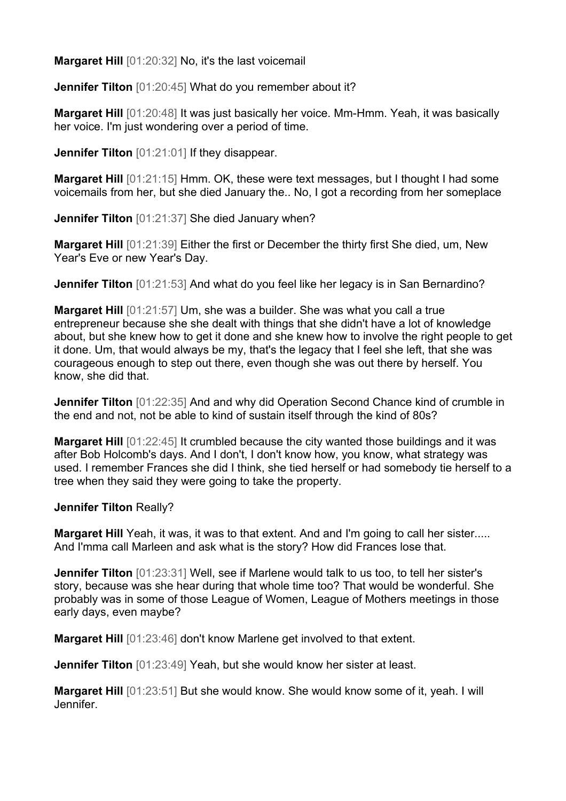**Margaret Hill** [01:20:32] No, it's the last voicemail

**Jennifer Tilton** [01:20:45] What do you remember about it?

**Margaret Hill** [01:20:48] It was just basically her voice. Mm-Hmm. Yeah, it was basically her voice. I'm just wondering over a period of time.

**Jennifer Tilton** [01:21:01] If they disappear.

**Margaret Hill** [01:21:15] Hmm. OK, these were text messages, but I thought I had some voicemails from her, but she died January the.. No, I got a recording from her someplace

**Jennifer Tilton** [01:21:37] She died January when?

**Margaret Hill** [01:21:39] Either the first or December the thirty first She died, um, New Year's Eve or new Year's Day.

**Jennifer Tilton** [01:21:53] And what do you feel like her legacy is in San Bernardino?

**Margaret Hill** [01:21:57] Um, she was a builder. She was what you call a true entrepreneur because she she dealt with things that she didn't have a lot of knowledge about, but she knew how to get it done and she knew how to involve the right people to get it done. Um, that would always be my, that's the legacy that I feel she left, that she was courageous enough to step out there, even though she was out there by herself. You know, she did that.

**Jennifer Tilton** [01:22:35] And and why did Operation Second Chance kind of crumble in the end and not, not be able to kind of sustain itself through the kind of 80s?

**Margaret Hill** [01:22:45] It crumbled because the city wanted those buildings and it was after Bob Holcomb's days. And I don't, I don't know how, you know, what strategy was used. I remember Frances she did I think, she tied herself or had somebody tie herself to a tree when they said they were going to take the property.

## **Jennifer Tilton Really?**

**Margaret Hill** Yeah, it was, it was to that extent. And and I'm going to call her sister..... And I'mma call Marleen and ask what is the story? How did Frances lose that.

**Jennifer Tilton** [01:23:31] Well, see if Marlene would talk to us too, to tell her sister's story, because was she hear during that whole time too? That would be wonderful. She probably was in some of those League of Women, League of Mothers meetings in those early days, even maybe?

**Margaret Hill** [01:23:46] don't know Marlene get involved to that extent.

**Jennifer Tilton** [01:23:49] Yeah, but she would know her sister at least.

**Margaret Hill** [01:23:51] But she would know. She would know some of it, yeah. I will Jennifer.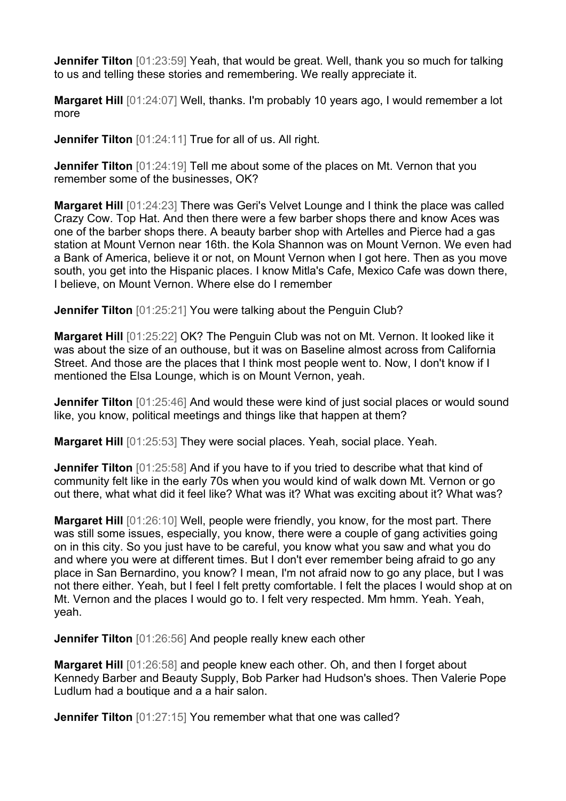**Jennifer Tilton** [01:23:59] Yeah, that would be great. Well, thank you so much for talking to us and telling these stories and remembering. We really appreciate it.

**Margaret Hill**  $[01:24:07]$  Well, thanks. I'm probably 10 years ago, I would remember a lot more

**Jennifer Tilton** [01:24:11] True for all of us. All right.

**Jennifer Tilton** [01:24:19] Tell me about some of the places on Mt. Vernon that you remember some of the businesses, OK?

**Margaret Hill** [01:24:23] There was Geri's Velvet Lounge and I think the place was called Crazy Cow. Top Hat. And then there were a few barber shops there and know Aces was one of the barber shops there. A beauty barber shop with Artelles and Pierce had a gas station at Mount Vernon near 16th. the Kola Shannon was on Mount Vernon. We even had a Bank of America, believe it or not, on Mount Vernon when I got here. Then as you move south, you get into the Hispanic places. I know Mitla's Cafe, Mexico Cafe was down there, I believe, on Mount Vernon. Where else do I remember

**Jennifer Tilton** [01:25:21] You were talking about the Penguin Club?

**Margaret Hill** [01:25:22] OK? The Penguin Club was not on Mt. Vernon. It looked like it was about the size of an outhouse, but it was on Baseline almost across from California Street. And those are the places that I think most people went to. Now, I don't know if I mentioned the Elsa Lounge, which is on Mount Vernon, yeah.

**Jennifer Tilton** [01:25:46] And would these were kind of just social places or would sound like, you know, political meetings and things like that happen at them?

**Margaret Hill** [01:25:53] They were social places. Yeah, social place. Yeah.

**Jennifer Tilton** [01:25:58] And if you have to if you tried to describe what that kind of community felt like in the early 70s when you would kind of walk down Mt. Vernon or go out there, what what did it feel like? What was it? What was exciting about it? What was?

**Margaret Hill** [01:26:10] Well, people were friendly, you know, for the most part. There was still some issues, especially, you know, there were a couple of gang activities going on in this city. So you just have to be careful, you know what you saw and what you do and where you were at different times. But I don't ever remember being afraid to go any place in San Bernardino, you know? I mean, I'm not afraid now to go any place, but I was not there either. Yeah, but I feel I felt pretty comfortable. I felt the places I would shop at on Mt. Vernon and the places I would go to. I felt very respected. Mm hmm. Yeah. Yeah, yeah.

**Jennifer Tilton** [01:26:56] And people really knew each other

**Margaret Hill** [01:26:58] and people knew each other. Oh, and then I forget about Kennedy Barber and Beauty Supply, Bob Parker had Hudson's shoes. Then Valerie Pope Ludlum had a boutique and a a hair salon.

**Jennifer Tilton** [01:27:15] You remember what that one was called?